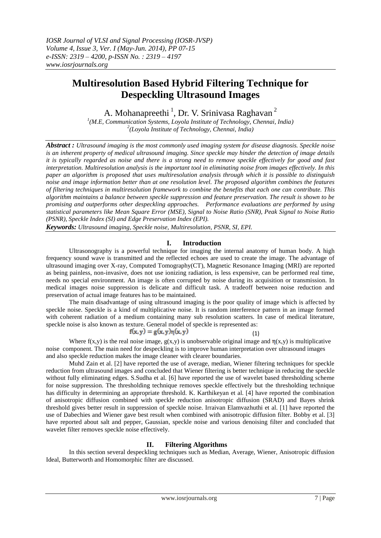# **Multiresolution Based Hybrid Filtering Technique for Despeckling Ultrasound Images**

A. Mohanapreethi<sup>1</sup>, Dr. V. Srinivasa Raghavan<sup>2</sup>

*1 (M.E, Communication Systems, Loyola Institute of Technology, Chennai, India) 2 (Loyola Institute of Technology, Chennai, India)*

*Abstract : Ultrasound imaging is the most commonly used imaging system for disease diagnosis. Speckle noise is an inherent property of medical ultrasound imaging. Since speckle may hinder the detection of image details it is typically regarded as noise and there is a strong need to remove speckle effectively for good and fast interpretation. Multiresolution analysis is the important tool in eliminating noise from images effectively. In this paper an algorithm is proposed that uses multiresolution analysis through which it is possible to distinguish noise and image information better than at one resolution level. The proposed algorithm combines the features of filtering techniques in multiresolution framework to combine the benefits that each one can contribute. This algorithm maintains a balance between speckle suppression and feature preservation. The result is shown to be promising and outperforms other despeckling approaches. Performance evaluations are performed by using statistical parameters like Mean Square Error (MSE), Signal to Noise Ratio (SNR), Peak Signal to Noise Ratio (PSNR), Speckle Index (SI) and Edge Preservation Index (EPI).*

*Keywords: Ultrasound imaging, Speckle noise, Multiresolution, PSNR, SI, EPI.*

# **I. Introduction**

Ultrasonography is a powerful technique for imaging the internal anatomy of human body. A high frequency sound wave is transmitted and the reflected echoes are used to create the image. The advantage of ultrasound imaging over X-ray, Computed Tomography(CT), Magnetic Resonance Imaging (MRI) are reported as being painless, non-invasive, does not use ionizing radiation, is less expensive, can be performed real time, needs no special environment. An image is often corrupted by noise during its acquisition or transmission. In medical images noise suppression is delicate and difficult task. A tradeoff between noise reduction and preservation of actual image features has to be maintained.

The main disadvantage of using ultrasound imaging is the poor quality of image which is affected by speckle noise. Speckle is a kind of multiplicative noise. It is random interference pattern in an image formed with coherent radiation of a medium containing many sub resolution scatters. In case of medical literature, speckle noise is also known as texture. General model of speckle is represented as:

(1)

$$
f(x,y) = g(x,y)\eta(x,y)
$$

Where  $f(x,y)$  is the real noise image,  $g(x,y)$  is unobservable original image and  $\eta(x,y)$  is multiplicative noise component. The main need for despeckling is to improve human interpretation over ultrasound images and also speckle reduction makes the image cleaner with clearer boundaries.

Muhd Zain et al. [2] have reported the use of average, median, Wiener filtering techniques for speckle reduction from ultrasound images and concluded that Wiener filtering is better technique in reducing the speckle without fully eliminating edges. S.Sudha et al. [6] have reported the use of wavelet based thresholding scheme for noise suppression. The thresholding technique removes speckle effectively but the thresholding technique has difficulty in determining an appropriate threshold. K. Karthikeyan et al. [4] have reported the combination of anisotropic diffusion combined with speckle reduction anisotropic diffusion (SRAD) and Bayes shrink threshold gives better result in suppression of speckle noise. Irraivan Elamvazhuthi et al. [1] have reported the use of Dabechies and Wiener gave best result when combined with anisotropic diffusion filter. Bobby et al. [3] have reported about salt and pepper, Gaussian, speckle noise and various denoising filter and concluded that wavelet filter removes speckle noise effectively.

# **II. Filtering Algorithms**

 In this section several despeckling techniques such as Median, Average, Wiener, Anisotropic diffusion Ideal, Butterworth and Homomorphic filter are discussed.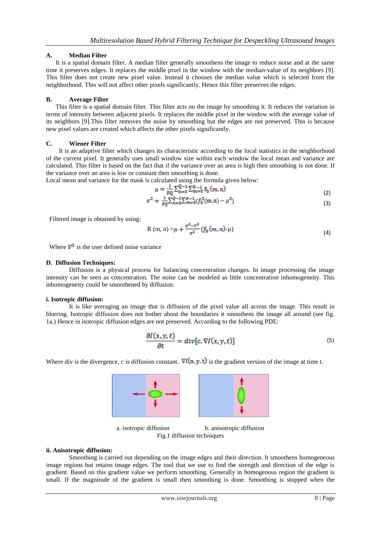# **A. Median Filter**

 It is a spatial domain filter. A median filter generally smoothens the image to reduce noise and at the same time it preserves edges. It replaces the middle pixel in the window with the median-value of its neighbors [9]. This filter does not create new pixel value. Instead it chooses the median value which is selected from the neighborhood. This will not affect other pixels significantly. Hence this filter preserves the edges.

# **B. Average Filter**

 This filter is a spatial domain filter. This filter acts on the image by smoothing it. It reduces the variation in terms of intensity between adjacent pixels. It replaces the middle pixel in the window with the average value of its neighbors [9].This filter removes the noise by smoothing but the edges are not preserved. This is because new pixel values are created which affects the other pixels significantly.

# **C. Wiener Filter**

 It is an adaptive filter which changes its characteristic according to the local statistics in the neighborhood of the current pixel. It generally uses small window size within each window the local mean and variance are calculated. This filter is based on the fact that if the variance over an area is high then smoothing is not done. If the variance over an area is low or constant then smoothing is done.

Local mean and variance for the mask is calculated using the formula given below:

$$
\mu = \frac{1}{pq} \sum_{n=0}^{Q-1} \sum_{m=0}^{p-1} f_b(m, n) \tag{2}
$$

$$
\sigma^2 = \frac{1}{PQ} \sum_{n=0}^{Q-1} \sum_{m=0}^{P-1} (f_b^2(m,n) - \mu^2)
$$
\n(3)

Filtered image is obtained by using:

R (m, n) = 
$$
\mu + \frac{\sigma^2 - v^2}{\sigma^2} (f_b(m, n) - \mu)
$$
 (4)

Where  $V^2$  is the user defined noise variance

# **D. Diffusion Techniques:**

 Diffusion is a physical process for balancing concentration changes. In image processing the image intensity can be seen as concentration. The noise can be modeled as little concentration inhomogeneity. This inhomogeneity could be smoothened by diffusion.

## **i. Isotropic diffusion:**

It is like averaging an image that is diffusion of the pixel value all across the image. This result in blurring. Isotropic diffusion does not bother about the boundaries it smoothens the image all around (see fig. 1a.) Hence in isotropic diffusion edges are not preserved. According to the following PDE:

$$
\frac{\partial I(x,y,t)}{\partial t} = div[c.\nabla I(x,y,t)]\tag{5}
$$

Where div is the divergence, c is diffusion constant.  $\nabla I(x, y, t)$  is the gradient version of the image at time t.



a. isotropic diffusion b. anisotropic diffusion Fig.1 diffusion techniques

# **ii. Anisotropic diffusion:**

 Smoothing is carried out depending on the image edges and their direction. It smoothens homogeneous image regions but retains image edges. The tool that we use to find the strength and direction of the edge is gradient. Based on this gradient value we perform smoothing. Generally in homogenous region the gradient is small. If the magnitude of the gradient is small then smoothing is done. Smoothing is stopped when the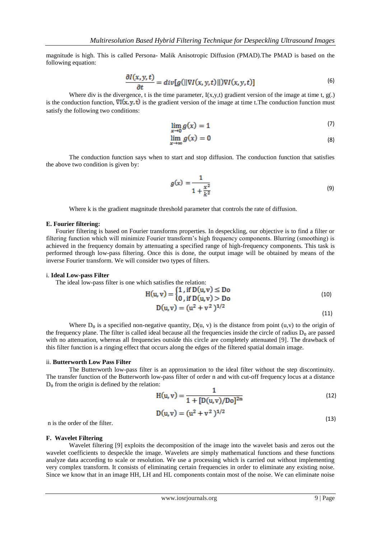magnitude is high. This is called Persona- Malik Anisotropic Diffusion (PMAD).The PMAD is based on the following equation:

$$
\frac{\partial I(x,y,t)}{\partial t} = div[g(||\nabla I(x,y,t)||)\nabla I(x,y,t)]
$$
\n(6)

Where div is the divergence, t is the time parameter,  $I(x,y,t)$  gradient version of the image at time t,  $g(.)$ is the conduction function,  $\nabla I(x, y, t)$  is the gradient version of the image at time t. The conduction function must satisfy the following two conditions:

$$
\lim_{x \to 0} g(x) = 1 \tag{7}
$$

$$
\lim_{x \to \infty} g(x) = 0 \tag{8}
$$

The conduction function says when to start and stop diffusion. The conduction function that satisfies the above two condition is given by:

$$
g(x) = \frac{1}{1 + \frac{x^2}{k^2}}
$$
 (9)

Where k is the gradient magnitude threshold parameter that controls the rate of diffusion.

#### **E. Fourier filtering:**

Fourier filtering is based on Fourier transforms properties. In despeckling, our objective is to find a filter or filtering function which will minimize Fourier transform's high frequency components. Blurring (smoothing) is achieved in the frequency domain by attenuating a specified range of high-frequency components. This task is performed through low-pass filtering. Once this is done, the output image will be obtained by means of the inverse Fourier transform. We will consider two types of filters.

#### i. **Ideal Low-pass Filter**

The ideal low-pass filter is one which satisfies the relation:

$$
H(u, v) = \begin{cases} 1 \text{, if } D(u, v) \leq Do \\ 0 \text{, if } D(u, v) > Do \end{cases}
$$
 (10)

$$
D(u, v) = (u2 + v2)1/2
$$
 (11)

Where  $D_0$  is a specified non-negative quantity,  $D(u, v)$  is the distance from point (u,v) to the origin of the frequency plane. The filter is called ideal because all the frequencies inside the circle of radius  $D_0$  are passed with no attenuation, whereas all frequencies outside this circle are completely attenuated [9]. The drawback of this filter function is a ringing effect that occurs along the edges of the filtered spatial domain image.

#### ii. **Butterworth Low Pass Filter**

 The Butterworth low-pass filter is an approximation to the ideal filter without the step discontinuity. The transfer function of the Butterworth low-pass filter of order n and with cut-off frequency locus at a distance  $D_0$  from the origin is defined by the relation:

$$
H(u, v) = \frac{1}{1 + [D(u, v)/D_0]^{2n}}
$$
\n(12)

$$
D(u, v) = (u2 + v2)1/2
$$
 (13)

n is the order of the filter.

## **F. Wavelet Filtering**

 Wavelet filtering [9] exploits the decomposition of the image into the wavelet basis and zeros out the wavelet coefficients to despeckle the image. Wavelets are simply mathematical functions and these functions analyze data according to scale or resolution. We use a processing which is carried out without implementing very complex transform. It consists of eliminating certain frequencies in order to eliminate any existing noise. Since we know that in an image HH, LH and HL components contain most of the noise. We can eliminate noise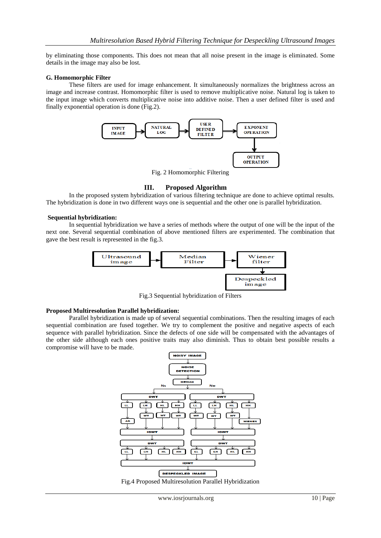by eliminating those components. This does not mean that all noise present in the image is eliminated. Some details in the image may also be lost.

#### **G. Homomorphic Filter**

 These filters are used for image enhancement. It simultaneously normalizes the brightness across an image and increase contrast. Homomorphic filter is used to remove multiplicative noise. Natural log is taken to the input image which converts multiplicative noise into additive noise. Then a user defined filter is used and finally exponential operation is done (Fig.2).



Fig. 2 Homomorphic Filtering

## **III. Proposed Algorithm**

 In the proposed system hybridization of various filtering technique are done to achieve optimal results. The hybridization is done in two different ways one is sequential and the other one is parallel hybridization.

#### **Sequential hybridization:**

 In sequential hybridization we have a series of methods where the output of one will be the input of the next one. Several sequential combination of above mentioned filters are experimented. The combination that gave the best result is represented in the fig.3.



Fig.3 Sequential hybridization of Filters

## **Proposed Multiresolution Parallel hybridization:**

 Parallel hybridization is made up of several sequential combinations. Then the resulting images of each sequential combination are fused together. We try to complement the positive and negative aspects of each sequence with parallel hybridization. Since the defects of one side will be compensated with the advantages of the other side although each ones positive traits may also diminish. Thus to obtain best possible results a compromise will have to be made.



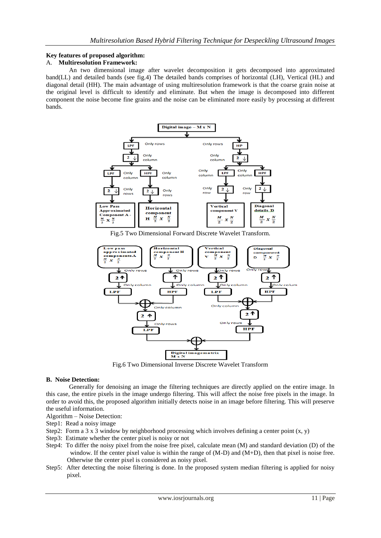# **Key features of proposed algorithm:**

# A. **Multiresolution Framework:**

 An two dimensional image after wavelet decomposition it gets decomposed into approximated band(LL) and detailed bands (see fig.4) The detailed bands comprises of horizontal (LH), Vertical (HL) and diagonal detail (HH). The main advantage of using multiresolution framework is that the coarse grain noise at the original level is difficult to identify and eliminate. But when the image is decomposed into different component the noise become fine grains and the noise can be eliminated more easily by processing at different bands.



Fig.5 Two Dimensional Forward Discrete Wavelet Transform.



Fig.6 Two Dimensional Inverse Discrete Wavelet Transform

#### **B. Noise Detection:**

 Generally for denoising an image the filtering techniques are directly applied on the entire image. In this case, the entire pixels in the image undergo filtering. This will affect the noise free pixels in the image. In order to avoid this, the proposed algorithm initially detects noise in an image before filtering. This will preserve the useful information.

Algorithm – Noise Detection:

Step1: Read a noisy image

- Step2: Form a 3 x 3 window by neighborhood processing which involves defining a center point  $(x, y)$
- Step3: Estimate whether the center pixel is noisy or not
- Step4: To differ the noisy pixel from the noise free pixel, calculate mean (M) and standard deviation (D) of the window. If the center pixel value is within the range of (M-D) and (M+D), then that pixel is noise free. Otherwise the center pixel is considered as noisy pixel.
- Step5: After detecting the noise filtering is done. In the proposed system median filtering is applied for noisy pixel.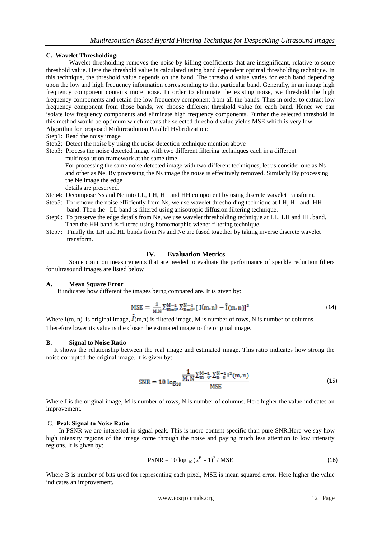# **C. Wavelet Thresholding:**

 Wavelet thresholding removes the noise by killing coefficients that are insignificant, relative to some threshold value. Here the threshold value is calculated using band dependent optimal thresholding technique. In this technique, the threshold value depends on the band. The threshold value varies for each band depending upon the low and high frequency information corresponding to that particular band. Generally, in an image high frequency component contains more noise. In order to eliminate the existing noise, we threshold the high frequency components and retain the low frequency component from all the bands. Thus in order to extract low frequency component from those bands, we choose different threshold value for each band. Hence we can isolate low frequency components and eliminate high frequency components. Further the selected threshold in this method would be optimum which means the selected threshold value yields MSE which is very low. Algorithm for proposed Multiresolution Parallel Hybridization:

- Step1: Read the noisy image
- Step2: Detect the noise by using the noise detection technique mention above
- Step3: Process the noise detected image with two different filtering techniques each in a different multiresolution framework at the same time.

 For processing the same noise detected image with two different techniques, let us consider one as Ns and other as Ne. By processing the Ns image the noise is effectively removed. Similarly By processing the Ne image the edge details are preserved.

- Step4: Decompose Ns and Ne into LL, LH, HL and HH component by using discrete wavelet transform.
- Step5: To remove the noise efficiently from Ns, we use wavelet thresholding technique at LH, HL and HH band. Then the LL band is filtered using anisotropic diffusion filtering technique.
- Step6: To preserve the edge details from Ne, we use wavelet thresholding technique at LL, LH and HL band. Then the HH band is filtered using homomorphic wiener filtering technique.
- Step7: Finally the LH and HL bands from Ns and Ne are fused together by taking inverse discrete wavelet transform.

# **IV. Evaluation Metrics**

 Some common measurements that are needed to evaluate the performance of speckle reduction filters for ultrasound images are listed below

## **A. Mean Square Error**

It indicates how different the images being compared are. It is given by:

$$
MSE = \frac{1}{M.N} \sum_{m=0}^{M-1} \sum_{n=0}^{N-1} [I(m, n) - \hat{I}(m, n)]^2
$$
 (14)

Where I(m, n) is original image,  $I(m,n)$  is filtered image, M is number of rows, N is number of columns. Therefore lower its value is the closer the estimated image to the original image.

# **B. Signal to Noise Ratio**

 It shows the relationship between the real image and estimated image. This ratio indicates how strong the noise corrupted the original image. It is given by:

$$
SNR = 10 \log_{10} \frac{\frac{1}{M,N} \sum_{m=0}^{M-1} \sum_{n=0}^{N-1} I^2(m,n)}{MSE}
$$
(15)

Where I is the original image, M is number of rows, N is number of columns. Here higher the value indicates an improvement.

# C. **Peak Signal to Noise Ratio**

In PSNR we are interested in signal peak. This is more content specific than pure SNR.Here we say how high intensity regions of the image come through the noise and paying much less attention to low intensity regions. It is given by:

$$
PSNR = 10 \log_{10} (2^B - 1)^2 / MSE
$$
\n(16)

Where B is number of bits used for representing each pixel, MSE is mean squared error. Here higher the value indicates an improvement.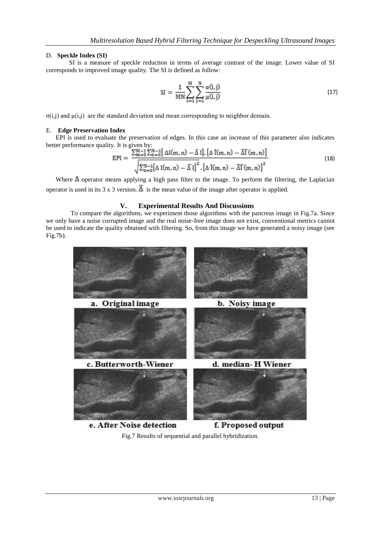## D. **Speckle Index (SI)**

 SI is a measure of speckle reduction in terms of average contrast of the image. Lower value of SI corresponds to improved image quality. The SI is defined as follow:

SI = 
$$
\frac{1}{MN} \sum_{i=1}^{M} \sum_{j=1}^{N} \frac{\sigma(i,j)}{\mu(i,j)}
$$
(17)

σ(i,j) and µ(i,j) are the standard deviation and mean corresponding to neighbor domain.

#### E. **Edge Preservation Index**

 EPI is used to evaluate the preservation of edges. In this case an increase of this parameter also indicates better performance quality. It is given by:

$$
EPI = \frac{\sum_{m=0}^{M-1} \sum_{n=0}^{N-1} [\Delta I(m,n) - \hat{\Delta} I] \cdot [\Delta \hat{I}(m,n) - \hat{\Delta} \hat{I}(m,n)]}{\sqrt{\sum_{n=0}^{N-1} [\Delta I(m,n) - \hat{\Delta} I]^2} \cdot [\Delta \hat{I}(m,n) - \hat{\Delta} \hat{I}(m,n)]^2}
$$
(18)

Where  $\Delta$  operator means applying a high pass filter to the image. To perform the filtering, the Laplacian operator is used in its 3 x 3 version.  $\hat{\Delta}$  is the mean value of the image after operator is applied.

# **V. Experimental Results And Discussions**

 To compare the algorithms, we experiment those algorithms with the pancreas image in Fig.7a. Since we only have a noise corrupted image and the real noise-free image does not exist, conventional metrics cannot be used to indicate the quality obtained with filtering. So, from this image we have generated a noisy image (see Fig.7b).



Fig.7 Results of sequential and parallel hybridization.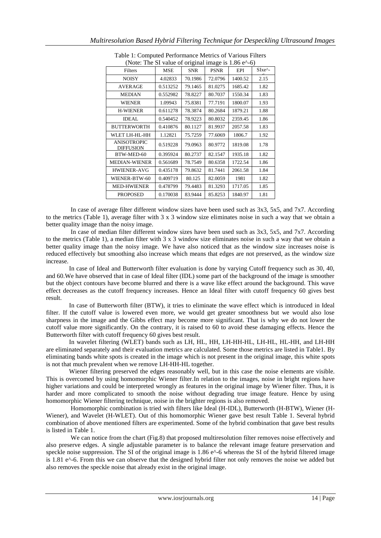| (Note: The SI value of original image is $1.86$ e <sup><math>\wedge</math></sup> -6) |            |            |             |         |                                          |
|--------------------------------------------------------------------------------------|------------|------------|-------------|---------|------------------------------------------|
| Filters                                                                              | <b>MSE</b> | <b>SNR</b> | <b>PSNR</b> | EPI     | $S$ Ixe <sup><math>\wedge</math></sup> - |
| <b>NOISY</b>                                                                         | 4.02833    | 70.1986    | 72.0796     | 1400.52 | 2.15                                     |
| <b>AVERAGE</b>                                                                       | 0.513252   | 79.1465    | 81.0275     | 1685.42 | 1.82                                     |
| <b>MEDIAN</b>                                                                        | 0.552982   | 78.8227    | 80.7037     | 1550.34 | 1.83                                     |
| <b>WIENER</b>                                                                        | 1.09943    | 75.8381    | 77.7191     | 1800.07 | 1.93                                     |
| <b>H-WIENER</b>                                                                      | 0.611278   | 78.3874    | 80.2684     | 1879.21 | 1.88                                     |
| <b>IDEAL</b>                                                                         | 0.540452   | 78.9223    | 80.8032     | 2359.45 | 1.86                                     |
| <b>BUTTERWORTH</b>                                                                   | 0.410876   | 80.1127    | 81.9937     | 2057.58 | 1.83                                     |
| WLET LH-HL-HH                                                                        | 1.12821    | 75.7259    | 77.6069     | 1806.7  | 1.92                                     |
| <b>ANISOTROPIC</b><br><b>DIFFUSION</b>                                               | 0.519228   | 79.0963    | 80.9772     | 1819.08 | 1.78                                     |
| BTW-MED-60                                                                           | 0.395924   | 80.2737    | 82.1547     | 1935.18 | 1.82                                     |
| <b>MEDIAN-WIENER</b>                                                                 | 0.561689   | 78.7549    | 80.6358     | 1722.54 | 1.86                                     |
| <b>HWIENER-AVG</b>                                                                   | 0.435178   | 79.8632    | 81.7441     | 2061.58 | 1.84                                     |
| WIENER-BTW-60                                                                        | 0.409719   | 80.125     | 82.0059     | 1981    | 1.82                                     |
| <b>MED-HWIENER</b>                                                                   | 0.478799   | 79.4483    | 81.3293     | 1717.05 | 1.85                                     |
| <b>PROPOSED</b>                                                                      | 0.170038   | 83.9444    | 85.8253     | 1840.97 | 1.81                                     |

Table 1: Computed Performance Metrics of Various Filters

 In case of average filter different window sizes have been used such as 3x3, 5x5, and 7x7. According to the metrics (Table 1), average filter with  $3 \times 3$  window size eliminates noise in such a way that we obtain a better quality image than the noisy image.

 In case of median filter different window sizes have been used such as 3x3, 5x5, and 7x7. According to the metrics (Table 1), a median filter with 3 x 3 window size eliminates noise in such a way that we obtain a better quality image than the noisy image. We have also noticed that as the window size increases noise is reduced effectively but smoothing also increase which means that edges are not preserved, as the window size increase.

 In case of Ideal and Butterworth filter evaluation is done by varying Cutoff frequency such as 30, 40, and 60.We have observed that in case of Ideal filter (IDL) some part of the background of the image is smoother but the object contours have become blurred and there is a wave like effect around the background. This wave effect decreases as the cutoff frequency increases. Hence an Ideal filter with cutoff frequency 60 gives best result.

 In case of Butterworth filter (BTW), it tries to eliminate the wave effect which is introduced in Ideal filter. If the cutoff value is lowered even more, we would get greater smoothness but we would also lose sharpness in the image and the Gibbs effect may become more significant. That is why we do not lower the cutoff value more significantly. On the contrary, it is raised to 60 to avoid these damaging effects. Hence the Butterworth filter with cutoff frequency 60 gives best result.

 In wavelet filtering (WLET) bands such as LH, HL, HH, LH-HH-HL, LH-HL, HL-HH, and LH-HH are eliminated separately and their evaluation metrics are calculated. Some those metrics are listed in Table1. By eliminating bands white spots is created in the image which is not present in the original image, this white spots is not that much prevalent when we remove LH-HH-HL together.

 Wiener filtering preserved the edges reasonably well, but in this case the noise elements are visible. This is overcomed by using homomorphic Wiener filter.In relation to the images, noise in bright regions have higher variations and could be interpreted wrongly as features in the original image by Wiener filter. Thus, it is harder and more complicated to smooth the noise without degrading true image feature. Hence by using homomorphic Wiener filtering technique, noise in the brighter regions is also removed.

 Homomorphic combination is tried with filters like Ideal (H-IDL), Butterworth (H-BTW), Wiener (H-Wiener), and Wavelet (H-WLET). Out of this homomorphic Wiener gave best result Table 1. Several hybrid combination of above mentioned filters are experimented. Some of the hybrid combination that gave best results is listed in Table 1.

We can notice from the chart (Fig.8) that proposed multiresolution filter removes noise effectively and also preserve edges. A single adjustable parameter is to balance the relevant image feature preservation and speckle noise suppression. The SI of the original image is  $1.86 e^{\Lambda}$ -6 whereas the SI of the hybrid filtered image is 1.81 e<sup> $\wedge$ </sup>-6. From this we can observe that the designed hybrid filter not only removes the noise we added but also removes the speckle noise that already exist in the original image.